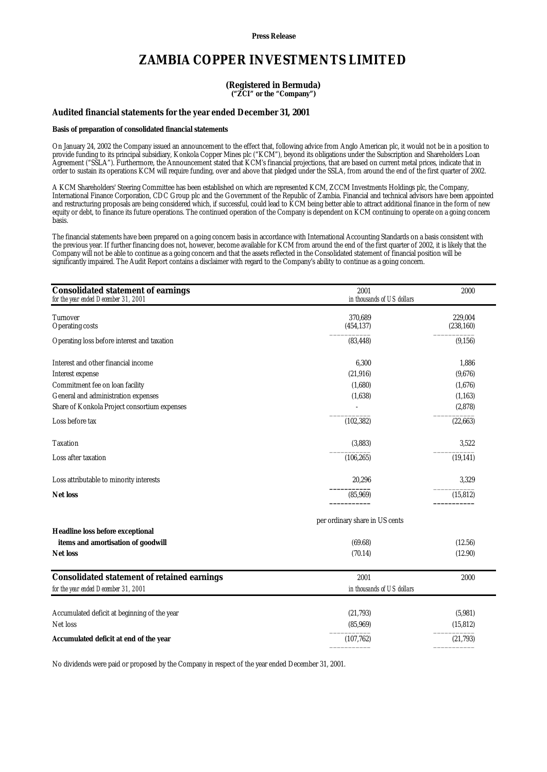**Press Release**

# **ZAMBIA COPPER INVESTMENTS LIMITED**

### **(Registered in Bermuda) ("ZCI" or the "Company")**

## **Audited financial statements for the year ended December 31, 2001**

#### **Basis of preparation of consolidated financial statements**

On January 24, 2002 the Company issued an announcement to the effect that, following advice from Anglo American plc, it would not be in a position to provide funding to its principal subsidiary, Konkola Copper Mines plc ("KCM"), beyond its obligations under the Subscription and Shareholders Loan Agreement ("SSLA"). Furthermore, the Announcement stated that KCM's financial projections, that are based on current metal prices, indicate that in order to sustain its operations KCM will require funding, over and above that pledged under the SSLA, from around the end of the first quarter of 2002.

A KCM Shareholders' Steering Committee has been established on which are represented KCM, ZCCM Investments Holdings plc, the Company, International Finance Corporation, CDC Group plc and the Government of the Republic of Zambia. Financial and technical advisors have been appointed and restructuring proposals are being considered which, if successful, could lead to KCM being better able to attract additional finance in the form of new equity or debt, to finance its future operations. The continued operation of the Company is dependent on KCM continuing to operate on a going concern basis.

The financial statements have been prepared on a going concern basis in accordance with International Accounting Standards on a basis consistent with the previous year. If further financing does not, however, become available for KCM from around the end of the first quarter of 2002, it is likely that the Company will not be able to continue as a going concern and that the assets reflected in the Consolidated statement of financial position will be significantly impaired. The Audit Report contains a disclaimer with regard to the Company's ability to continue as a going concern.

| <b>Consolidated statement of earnings</b><br>for the year ended December 31, 2001 | 2001<br>in thousands of US dollars | 2000                  |
|-----------------------------------------------------------------------------------|------------------------------------|-----------------------|
| <b>Turnover</b><br><b>Operating costs</b>                                         | 370,689<br>(454, 137)              | 229,004<br>(238, 160) |
| Operating loss before interest and taxation                                       | (83, 448)                          | (9, 156)              |
| Interest and other financial income                                               | 6,300                              | 1,886                 |
| Interest expense                                                                  | (21, 916)                          | (9,676)               |
| Commitment fee on loan facility                                                   | (1,680)                            | (1,676)               |
| General and administration expenses                                               | (1,638)                            | (1, 163)              |
| Share of Konkola Project consortium expenses                                      |                                    | (2,878)               |
| Loss before tax                                                                   | (102, 382)                         | (22,663)              |
| <b>Taxation</b>                                                                   | (3,883)                            | 3,522                 |
| Loss after taxation                                                               | (106, 265)                         | (19, 141)             |
| Loss attributable to minority interests                                           | 20,296                             | 3,329                 |
| <b>Net loss</b>                                                                   | (85,969)                           | (15, 812)             |
|                                                                                   | per ordinary share in US cents     |                       |
| <b>Headline loss before exceptional</b>                                           |                                    |                       |
| items and amortisation of goodwill                                                | (69.68)                            | (12.56)               |
| <b>Net loss</b>                                                                   | (70.14)                            | (12.90)               |
| <b>Consolidated statement of retained earnings</b>                                | 2001                               | 2000                  |
| for the year ended December 31, 2001                                              | in thousands of US dollars         |                       |
| Accumulated deficit at beginning of the year                                      | (21, 793)                          | (5,981)               |
| Net loss                                                                          | (85,969)                           | (15, 812)             |
| Accumulated deficit at end of the year                                            | (107, 762)                         | (21,793)              |

No dividends were paid or proposed by the Company in respect of the year ended December 31, 2001.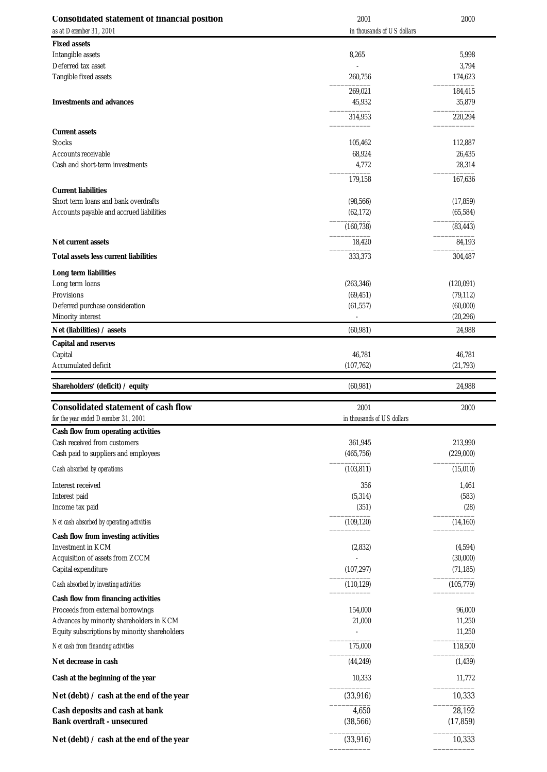| <b>Consolidated statement of financial position</b>                                       | 2001                               | 2000                |
|-------------------------------------------------------------------------------------------|------------------------------------|---------------------|
| as at December 31, 2001                                                                   | in thousands of US dollars         |                     |
| <b>Fixed assets</b>                                                                       |                                    |                     |
| Intangible assets                                                                         | 8,265                              | 5,998               |
| Deferred tax asset                                                                        |                                    | 3,794               |
| Tangible fixed assets                                                                     | 260,756                            | 174,623             |
|                                                                                           | 269,021                            | 184,415             |
| <b>Investments and advances</b>                                                           | 45,932                             | 35,879              |
|                                                                                           | 314,953                            | 220,294             |
| <b>Current assets</b>                                                                     |                                    |                     |
| <b>Stocks</b>                                                                             | 105,462                            | 112,887             |
| Accounts receivable                                                                       | 68,924                             | 26,435              |
| Cash and short-term investments                                                           | 4,772                              | 28,314              |
|                                                                                           | 179,158                            | 167,636             |
| <b>Current liabilities</b>                                                                |                                    |                     |
| Short term loans and bank overdrafts                                                      | (98, 566)                          | (17, 859)           |
| Accounts payable and accrued liabilities                                                  | (62, 172)                          | (65, 584)           |
|                                                                                           | (160, 738)                         | (83, 443)           |
| <b>Net current assets</b>                                                                 | 18,420                             | 84,193              |
| Total assets less current liabilities                                                     | 333,373                            | 304,487             |
| <b>Long term liabilities</b>                                                              |                                    |                     |
| Long term loans                                                                           | (263, 346)                         | (120,091)           |
| Provisions                                                                                | (69, 451)                          | (79, 112)           |
| Deferred purchase consideration                                                           | (61, 557)                          | (60,000)            |
| Minority interest                                                                         |                                    | (20, 296)           |
| Net (liabilities) / assets                                                                | (60, 981)                          | 24,988              |
| <b>Capital and reserves</b>                                                               |                                    |                     |
| Capital                                                                                   | 46,781                             | 46,781              |
| Accumulated deficit                                                                       | (107, 762)                         | (21,793)            |
|                                                                                           |                                    |                     |
| Shareholders' (deficit) / equity                                                          | (60, 981)                          | 24,988              |
|                                                                                           |                                    |                     |
| <b>Consolidated statement of cash flow</b><br>for the year ended December 31, 2001        | 2001<br>in thousands of US dollars | 2000                |
|                                                                                           |                                    |                     |
| <b>Cash flow from operating activities</b><br>Cash received from customers                | 361,945                            | 213,990             |
| Cash paid to suppliers and employees                                                      | (465, 756)                         | (229,000)           |
| Cash absorbed by operations                                                               | (103, 811)                         | (15,010)            |
|                                                                                           |                                    |                     |
| Interest received                                                                         | 356                                | 1,461<br>(583)      |
| Interest paid<br>Income tax paid                                                          | (5, 314)<br>(351)                  | (28)                |
|                                                                                           |                                    |                     |
| Net cash absorbed by operating activities                                                 | (109, 120)                         | (14, 160)           |
| <b>Cash flow from investing activities</b><br><b>Investment in KCM</b>                    |                                    |                     |
| Acquisition of assets from ZCCM                                                           | (2,832)                            | (4,594)<br>(30,000) |
| Capital expenditure                                                                       | (107, 297)                         | (71, 185)           |
|                                                                                           | (110, 129)                         | (105, 779)          |
| Cash absorbed by investing activities                                                     |                                    |                     |
| <b>Cash flow from financing activities</b>                                                |                                    |                     |
| Proceeds from external borrowings                                                         | 154,000<br>21,000                  | 96,000              |
| Advances by minority shareholders in KCM<br>Equity subscriptions by minority shareholders |                                    | 11,250<br>11,250    |
|                                                                                           |                                    |                     |
| Net cash from financing activities                                                        | 175,000                            | 118,500             |
| Net decrease in cash                                                                      | (44, 249)                          | (1, 439)            |
| Cash at the beginning of the year                                                         | 10,333                             | 11,772              |
| Net (debt) $\prime$ cash at the end of the year                                           | (33, 916)                          | 10,333              |
| Cash deposits and cash at bank                                                            | 4,650                              | 28,192              |
| <b>Bank overdraft - unsecured</b>                                                         | (38, 566)                          | (17, 859)           |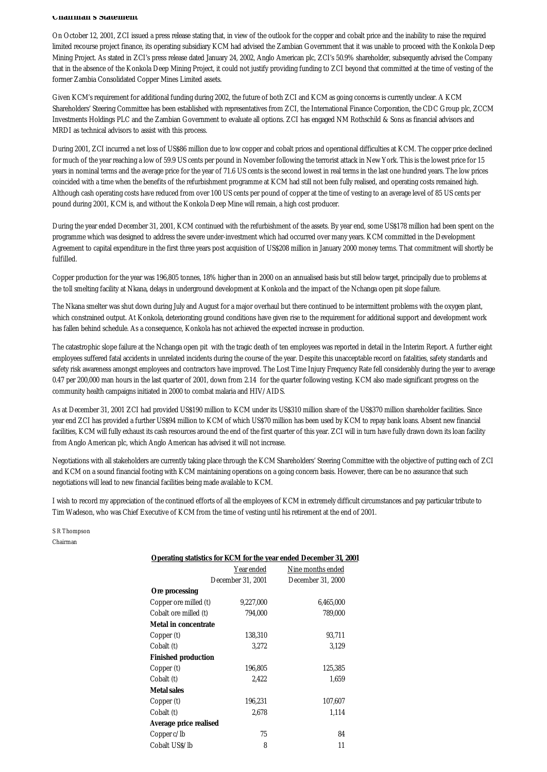#### **Chairman's Statement**

On October 12, 2001, ZCI issued a press release stating that, in view of the outlook for the copper and cobalt price and the inability to raise the required limited recourse project finance, its operating subsidiary KCM had advised the Zambian Government that it was unable to proceed with the Konkola Deep Mining Project. As stated in ZCI's press release dated January 24, 2002, Anglo American plc, ZCI's 50.9% shareholder, subsequently advised the Company that in the absence of the Konkola Deep Mining Project, it could not justify providing funding to ZCI beyond that committed at the time of vesting of the former Zambia Consolidated Copper Mines Limited assets.

Given KCM's requirement for additional funding during 2002, the future of both ZCI and KCM as going concerns is currently unclear. A KCM Shareholders' Steering Committee has been established with representatives from ZCI, the International Finance Corporation, the CDC Group plc, ZCCM Investments Holdings PLC and the Zambian Government to evaluate all options. ZCI has engaged NM Rothschild & Sons as financial advisors and MRDI as technical advisors to assist with this process.

During 2001, ZCI incurred a net loss of US\$86 million due to low copper and cobalt prices and operational difficulties at KCM. The copper price declined for much of the year reaching a low of 59.9 US cents per pound in November following the terrorist attack in New York. This is the lowest price for 15 years in nominal terms and the average price for the year of 71.6 US cents is the second lowest in real terms in the last one hundred years. The low prices coincided with a time when the benefits of the refurbishment programme at KCM had still not been fully realised, and operating costs remained high. Although cash operating costs have reduced from over 100 US cents per pound of copper at the time of vesting to an average level of 85 US cents per pound during 2001, KCM is, and without the Konkola Deep Mine will remain, a high cost producer.

During the year ended December 31, 2001, KCM continued with the refurbishment of the assets. By year end, some US\$178 million had been spent on the programme which was designed to address the severe under-investment which had occurred over many years. KCM committed in the Development Agreement to capital expenditure in the first three years post acquisition of US\$208 million in January 2000 money terms. That commitment will shortly be fulfilled.

Copper production for the year was 196,805 tonnes, 18% higher than in 2000 on an annualised basis but still below target, principally due to problems at the toll smelting facility at Nkana, delays in underground development at Konkola and the impact of the Nchanga open pit slope failure.

The Nkana smelter was shut down during July and August for a major overhaul but there continued to be intermittent problems with the oxygen plant, which constrained output. At Konkola, deteriorating ground conditions have given rise to the requirement for additional support and development work has fallen behind schedule. As a consequence, Konkola has not achieved the expected increase in production.

The catastrophic slope failure at the Nchanga open pit with the tragic death of ten employees was reported in detail in the Interim Report. A further eight employees suffered fatal accidents in unrelated incidents during the course of the year. Despite this unacceptable record on fatalities, safety standards and safety risk awareness amongst employees and contractors have improved. The Lost Time Injury Frequency Rate fell considerably during the year to average 0.47 per 200,000 man hours in the last quarter of 2001, down from 2.14 for the quarter following vesting. KCM also made significant progress on the community health campaigns initiated in 2000 to combat malaria and HIV/AIDS.

As at December 31, 2001 ZCI had provided US\$190 million to KCM under its US\$310 million share of the US\$370 million shareholder facilities. Since year end ZCI has provided a further US\$94 million to KCM of which US\$70 million has been used by KCM to repay bank loans. Absent new financial facilities, KCM will fully exhaust its cash resources around the end of the first quarter of this year. ZCI will in turn have fully drawn down its loan facility from Anglo American plc, which Anglo American has advised it will not increase.

Negotiations with all stakeholders are currently taking place through the KCM Shareholders' Steering Committee with the objective of putting each of ZCI and KCM on a sound financial footing with KCM maintaining operations on a going concern basis. However, there can be no assurance that such negotiations will lead to new financial facilities being made available to KCM.

I wish to record my appreciation of the continued efforts of all the employees of KCM in extremely difficult circumstances and pay particular tribute to Tim Wadeson, who was Chief Executive of KCM from the time of vesting until his retirement at the end of 2001.

S R Thompson Chairman

| <b>Operating statistics for KCM for the year ended December 31, 2001</b> |                   |                   |  |
|--------------------------------------------------------------------------|-------------------|-------------------|--|
|                                                                          | Year ended        | Nine months ended |  |
|                                                                          | December 31, 2001 | December 31, 2000 |  |
| Ore processing                                                           |                   |                   |  |
| Copper ore milled (t)                                                    | 9,227,000         | 6,465,000         |  |
| Cobalt ore milled (t)                                                    | 794,000           | 789,000           |  |
| <b>Metal in concentrate</b>                                              |                   |                   |  |
| Copper (t)                                                               | 138,310           | 93,711            |  |
| Cobalt (t)                                                               | 3.272             | 3,129             |  |
| <b>Finished production</b>                                               |                   |                   |  |
| Copper (t)                                                               | 196,805           | 125,385           |  |
| Cobalt (t)                                                               | 2.422             | 1,659             |  |
| <b>Metal sales</b>                                                       |                   |                   |  |
| Copper (t)                                                               | 196,231           | 107,607           |  |
| Cobalt (t)                                                               | 2,678             | 1,114             |  |
| Average price realised                                                   |                   |                   |  |
| Copper c/lb                                                              | 75                | 84                |  |
| Cobalt US\$/lb                                                           | 8                 | 11                |  |